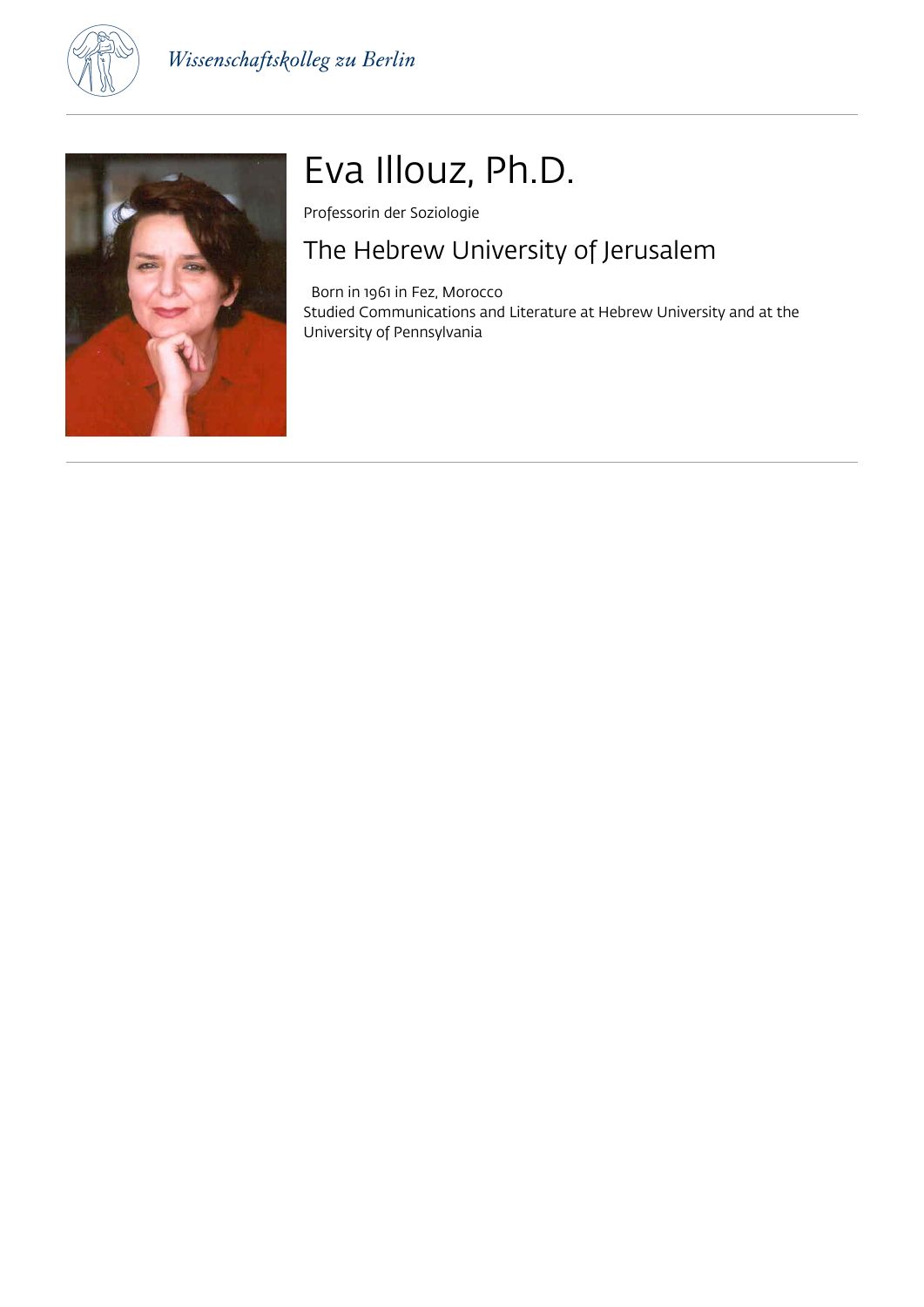



# Eva Illouz, Ph.D.

Professorin der Soziologie

### The Hebrew University of Jerusalem

 Born in 1961 in Fez, Morocco Studied Communications and Literature at Hebrew University and at the University of Pennsylvania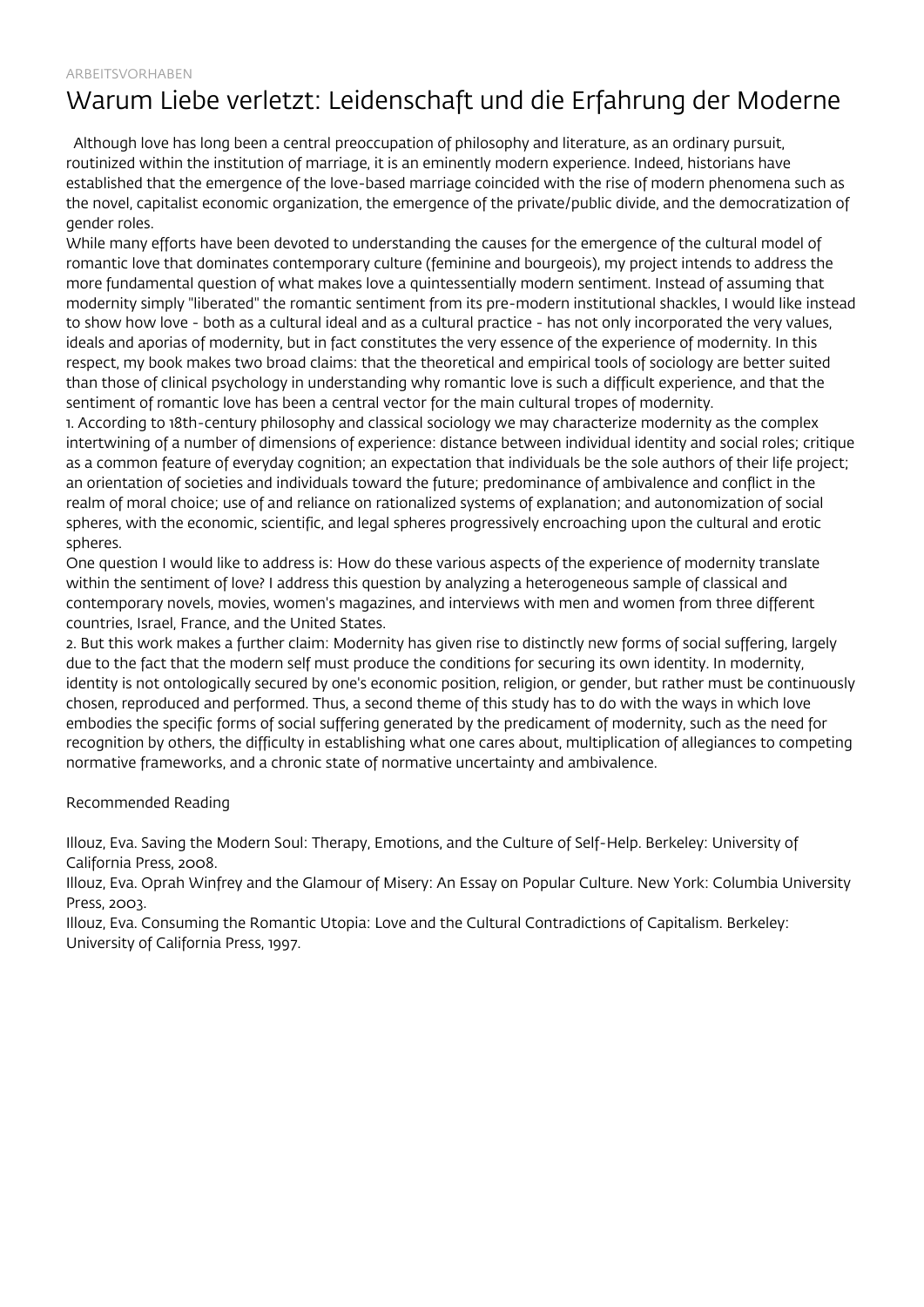# Warum Liebe verletzt: Leidenschaft und die Erfahrung der Moderne

 Although love has long been a central preoccupation of philosophy and literature, as an ordinary pursuit, routinized within the institution of marriage, it is an eminently modern experience. Indeed, historians have established that the emergence of the love-based marriage coincided with the rise of modern phenomena such as the novel, capitalist economic organization, the emergence of the private/public divide, and the democratization of gender roles.

While many efforts have been devoted to understanding the causes for the emergence of the cultural model of romantic love that dominates contemporary culture (feminine and bourgeois), my project intends to address the more fundamental question of what makes love a quintessentially modern sentiment. Instead of assuming that modernity simply "liberated" the romantic sentiment from its pre-modern institutional shackles, I would like instead to show how love - both as a cultural ideal and as a cultural practice - has not only incorporated the very values, ideals and aporias of modernity, but in fact constitutes the very essence of the experience of modernity. In this respect, my book makes two broad claims: that the theoretical and empirical tools of sociology are better suited than those of clinical psychology in understanding why romantic love is such a difficult experience, and that the sentiment of romantic love has been a central vector for the main cultural tropes of modernity.

1. According to 18th-century philosophy and classical sociology we may characterize modernity as the complex intertwining of a number of dimensions of experience: distance between individual identity and social roles; critique as a common feature of everyday cognition; an expectation that individuals be the sole authors of their life project; an orientation of societies and individuals toward the future; predominance of ambivalence and conflict in the realm of moral choice; use of and reliance on rationalized systems of explanation; and autonomization of social spheres, with the economic, scientific, and legal spheres progressively encroaching upon the cultural and erotic spheres.

One question I would like to address is: How do these various aspects of the experience of modernity translate within the sentiment of love? I address this question by analyzing a heterogeneous sample of classical and contemporary novels, movies, women's magazines, and interviews with men and women from three different countries, Israel, France, and the United States.

2. But this work makes a further claim: Modernity has given rise to distinctly new forms of social suffering, largely due to the fact that the modern self must produce the conditions for securing its own identity. In modernity, identity is not ontologically secured by one's economic position, religion, or gender, but rather must be continuously chosen, reproduced and performed. Thus, a second theme of this study has to do with the ways in which love embodies the specific forms of social suffering generated by the predicament of modernity, such as the need for recognition by others, the difficulty in establishing what one cares about, multiplication of allegiances to competing normative frameworks, and a chronic state of normative uncertainty and ambivalence.

### Recommended Reading

Illouz, Eva. Saving the Modern Soul: Therapy, Emotions, and the Culture of Self-Help. Berkeley: University of California Press, 2008.

Illouz, Eva. Oprah Winfrey and the Glamour of Misery: An Essay on Popular Culture. New York: Columbia University Press, 2003.

Illouz, Eva. Consuming the Romantic Utopia: Love and the Cultural Contradictions of Capitalism. Berkeley: University of California Press, 1997.